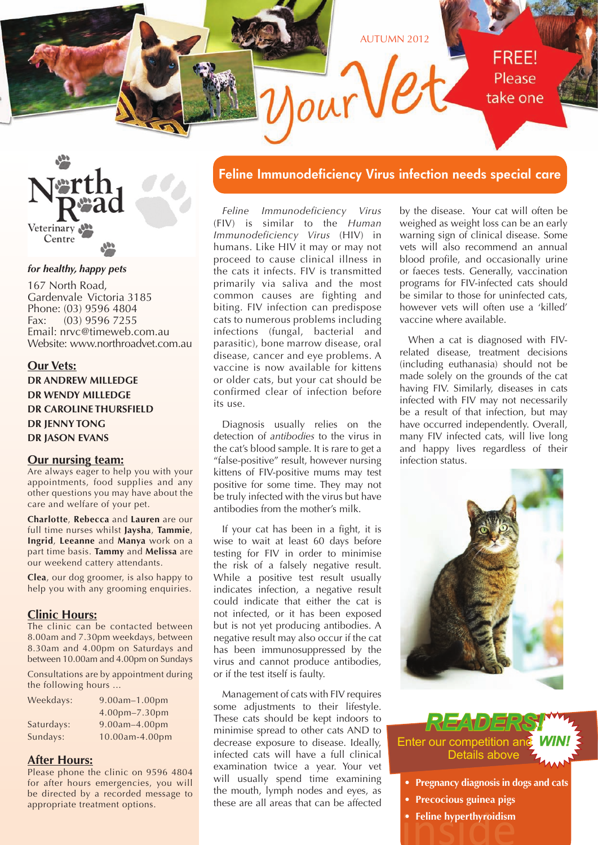



#### *for healthy, happy pets*

167 North Road, Gardenvale Victoria 3185 Phone: (03) 9596 4804 Fax: (03) 9596 7255 Email: nrvc@timeweb.com.au Website: www.northroadvet.com.au

### **Our Vets:**

**DR ANDREW MILLEDGE DR WENDY MILLEDGE DR CAROLINE THURSFIELD DR JENNY TONG DR JASON EVANS**

### **Our nursing team:**

Are always eager to help you with your appointments, food supplies and any other questions you may have about the care and welfare of your pet.

**Charlotte**, **Rebecca** and **Lauren** are our full time nurses whilst **Jaysha**, **Tammie**, **Ingrid**, **Leeanne** and **Manya** work on a part time basis. **Tammy** and **Melissa** are our weekend cattery attendants.

**Clea**, our dog groomer, is also happy to help you with any grooming enquiries.

### **Clinic Hours:**

The clinic can be contacted between 8.00am and 7.30pm weekdays, between 8.30am and 4.00pm on Saturdays and between 10.00am and 4.00pm on Sundays

Consultations are by appointment during the following hours ...

| Weekdays:  | 9.00am-1.00pm  |
|------------|----------------|
|            | 4.00pm-7.30pm  |
| Saturdays: | 9.00am-4.00pm  |
| Sundays:   | 10.00am-4.00pm |

### **After Hours:**

Please phone the clinic on 9596 4804 for after hours emergencies, you will be directed by a recorded message to appropriate treatment options.

### **Feline Immunodeficiency Virus infection needs special care**

*Feline Immunodeficiency Virus*  (FIV) is similar to the *Human Immunodeficiency Virus* (HIV) in humans. Like HIV it may or may not proceed to cause clinical illness in the cats it infects. FIV is transmitted primarily via saliva and the most common causes are fighting and biting. FIV infection can predispose cats to numerous problems including infections (fungal, bacterial and parasitic), bone marrow disease, oral disease, cancer and eye problems. A vaccine is now available for kittens or older cats, but your cat should be confirmed clear of infection before its use.

Diagnosis usually relies on the detection of *antibodies* to the virus in the cat's blood sample. It is rare to get a "false-positive" result, however nursing kittens of FIV-positive mums may test positive for some time. They may not be truly infected with the virus but have antibodies from the mother's milk.

If your cat has been in a fight, it is wise to wait at least 60 days before testing for FIV in order to minimise the risk of a falsely negative result. While a positive test result usually indicates infection, a negative result could indicate that either the cat is not infected, or it has been exposed but is not yet producing antibodies. A negative result may also occur if the cat has been immunosuppressed by the virus and cannot produce antibodies, or if the test itself is faulty.

Management of cats with FIV requires some adjustments to their lifestyle. These cats should be kept indoors to minimise spread to other cats AND to decrease exposure to disease. Ideally, infected cats will have a full clinical examination twice a year. Your vet will usually spend time examining the mouth, lymph nodes and eyes, as these are all areas that can be affected

by the disease. Your cat will often be weighed as weight loss can be an early warning sign of clinical disease. Some vets will also recommend an annual blood profile, and occasionally urine or faeces tests. Generally, vaccination programs for FIV-infected cats should be similar to those for uninfected cats, however vets will often use a 'killed' vaccine where available.

When a cat is diagnosed with FIVrelated disease, treatment decisions (including euthanasia) should not be made solely on the grounds of the cat having FIV. Similarly, diseases in cats infected with FIV may not necessarily be a result of that infection, but may have occurred independently. Overall, many FIV infected cats, will live long and happy lives regardless of their infection status.



### **Enter our competition ar** Details above *READERS!*

- **• Pregnancy diagnosis in dogs and cats**
- **• Precocious guinea pigs**
- **Feline hyperthyroidism**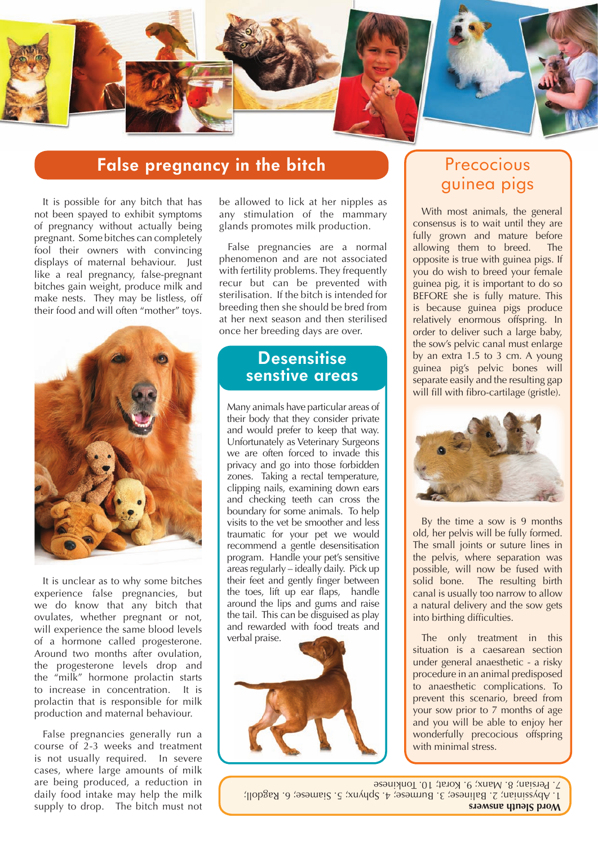

### **False pregnancy in the bitch**

It is possible for any bitch that has not been spayed to exhibit symptoms of pregnancy without actually being pregnant. Some bitches can completely fool their owners with convincing displays of maternal behaviour. Just like a real pregnancy, false-pregnant bitches gain weight, produce milk and make nests. They may be listless, off their food and will often "mother" toys.



It is unclear as to why some bitches experience false pregnancies, but we do know that any bitch that ovulates, whether pregnant or not, will experience the same blood levels of a hormone called progesterone. Around two months after ovulation, the progesterone levels drop and the "milk" hormone prolactin starts to increase in concentration. It is prolactin that is responsible for milk production and maternal behaviour.

False pregnancies generally run a course of 2-3 weeks and treatment is not usually required. In severe cases, where large amounts of milk are being produced, a reduction in daily food intake may help the milk supply to drop. The bitch must not

be allowed to lick at her nipples as any stimulation of the mammary glands promotes milk production.

False pregnancies are a normal phenomenon and are not associated with fertility problems. They frequently recur but can be prevented with sterilisation. If the bitch is intended for breeding then she should be bred from at her next season and then sterilised once her breeding days are over.

### **Desensitise senstive areas**

Many animals have particular areas of their body that they consider private and would prefer to keep that way. Unfortunately as Veterinary Surgeons we are often forced to invade this privacy and go into those forbidden zones. Taking a rectal temperature, clipping nails, examining down ears and checking teeth can cross the boundary for some animals. To help visits to the vet be smoother and less traumatic for your pet we would recommend a gentle desensitisation program. Handle your pet's sensitive areas regularly – ideally daily. Pick up their feet and gently finger between the toes, lift up ear flaps, handle around the lips and gums and raise the tail. This can be disguised as play and rewarded with food treats and verbal praise.



## Precocious guinea pigs

With most animals, the general consensus is to wait until they are fully grown and mature before allowing them to breed. The opposite is true with guinea pigs. If you do wish to breed your female guinea pig, it is important to do so BEFORE she is fully mature. This is because guinea pigs produce relatively enormous offspring. In order to deliver such a large baby, the sow's pelvic canal must enlarge by an extra 1.5 to 3 cm. A young guinea pig's pelvic bones will separate easily and the resulting gap will fill with fibro-cartilage (gristle).



By the time a sow is 9 months old, her pelvis will be fully formed. The small joints or suture lines in the pelvis, where separation was possible, will now be fused with solid bone. The resulting birth canal is usually too narrow to allow a natural delivery and the sow gets into birthing difficulties.

The only treatment in this situation is a caesarean section under general anaesthetic - a risky procedure in an animal predisposed to anaesthetic complications. To prevent this scenario, breed from your sow prior to 7 months of age and you will be able to enjoy her wonderfully precocious offspring with minimal stress.

**Word Sleuth answers** 1. Abyssinian; 2. Balinese; 3. Burmese; 4. Sphynx; 5. Siamese; 6. Ragdoll; 7. Persian; 8. Manx; 9. Korat; 10. Tonkinese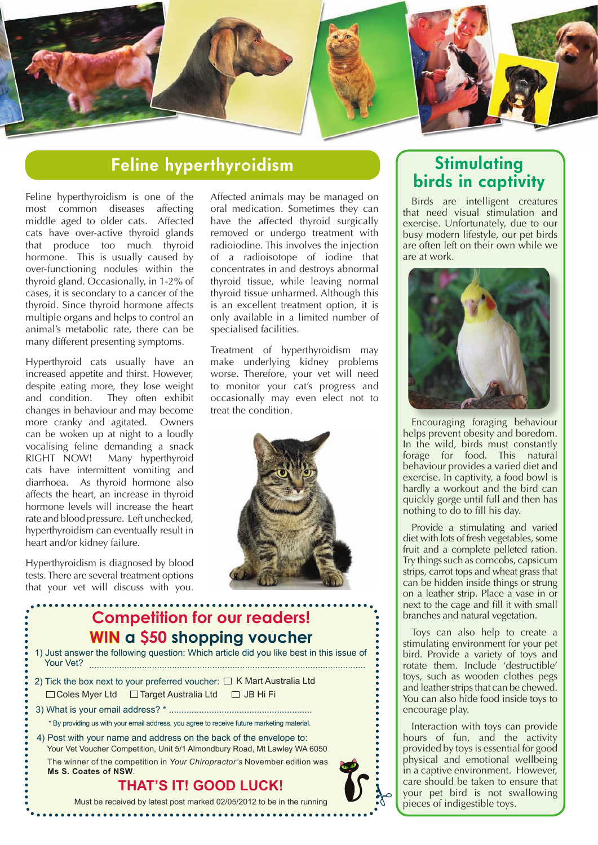

## **Feline hyperthyroidism**

Feline hyperthyroidism is one of the most common diseases affecting middle aged to older cats. Affected cats have over-active thyroid glands that produce too much thyroid hormone. This is usually caused by over-functioning nodules within the thyroid gland. Occasionally, in 1-2% of cases, it is secondary to a cancer of the thyroid. Since thyroid hormone affects multiple organs and helps to control an animal's metabolic rate, there can be many different presenting symptoms.

Hyperthyroid cats usually have an increased appetite and thirst. However, despite eating more, they lose weight and condition. They often exhibit changes in behaviour and may become more cranky and agitated. Owners can be woken up at night to a loudly vocalising feline demanding a snack RIGHT NOW! Many hyperthyroid cats have intermittent vomiting and diarrhoea. As thyroid hormone also affects the heart, an increase in thyroid hormone levels will increase the heart rate and blood pressure. Left unchecked, hyperthyroidism can eventually result in heart and/or kidney failure.

Hyperthyroidism is diagnosed by blood tests. There are several treatment options that your vet will discuss with you.

Affected animals may be managed on oral medication. Sometimes they can have the affected thyroid surgically removed or undergo treatment with radioiodine. This involves the injection of a radioisotope of iodine that concentrates in and destroys abnormal thyroid tissue, while leaving normal thyroid tissue unharmed. Although this is an excellent treatment option, it is only available in a limited number of specialised facilities.

Treatment of hyperthyroidism may make underlying kidney problems worse. Therefore, your vet will need to monitor your cat's progress and occasionally may even elect not to treat the condition.



## **Competition for our readers! WIN a \$50 shopping voucher**

| Must be received by latest post marked 02/05/2012 to be in the running                                                                          |  |
|-------------------------------------------------------------------------------------------------------------------------------------------------|--|
| <b>THAT'S IT! GOOD LUCK!</b>                                                                                                                    |  |
| The winner of the competition in Your Chiropractor's November edition was<br>Ms S. Coates of NSW.                                               |  |
| 4) Post with your name and address on the back of the envelope to:<br>Your Vet Voucher Competition, Unit 5/1 Almondbury Road, Mt Lawley WA 6050 |  |
| * By providing us with your email address, you agree to receive future marketing material.                                                      |  |
|                                                                                                                                                 |  |
| $\Box$ Coles Myer Ltd $\Box$ Target Australia Ltd $\Box$ JB Hi Fi                                                                               |  |
| 2) Tick the box next to your preferred voucher: $\Box K$ Mart Australia Ltd                                                                     |  |
| 1) Just answer the following question: Which article did you like best in this issue of<br>Your Vet?                                            |  |

### **THAT'S IT! GOOD LUCK!**

. . . . . . . . . . . . . . . . .

### **Stimulating birds in captivity**

Birds are intelligent creatures that need visual stimulation and exercise. Unfortunately, due to our busy modern lifestyle, our pet birds are often left on their own while we are at work.



Encouraging foraging behaviour helps prevent obesity and boredom. In the wild, birds must constantly forage for food. This natural behaviour provides a varied diet and exercise. In captivity, a food bowl is hardly a workout and the bird can quickly gorge until full and then has nothing to do to fill his day.

Provide a stimulating and varied diet with lots of fresh vegetables, some fruit and a complete pelleted ration. Try things such as corncobs, capsicum strips, carrot tops and wheat grass that can be hidden inside things or strung on a leather strip. Place a vase in or next to the cage and fill it with small branches and natural vegetation.

Toys can also help to create a stimulating environment for your pet bird. Provide a variety of toys and rotate them. Include 'destructible' toys, such as wooden clothes pegs and leather strips that can be chewed. You can also hide food inside toys to encourage play.

Interaction with toys can provide hours of fun, and the activity provided by toys is essential for good physical and emotional wellbeing in a captive environment. However, care should be taken to ensure that your pet bird is not swallowing pieces of indigestible toys.